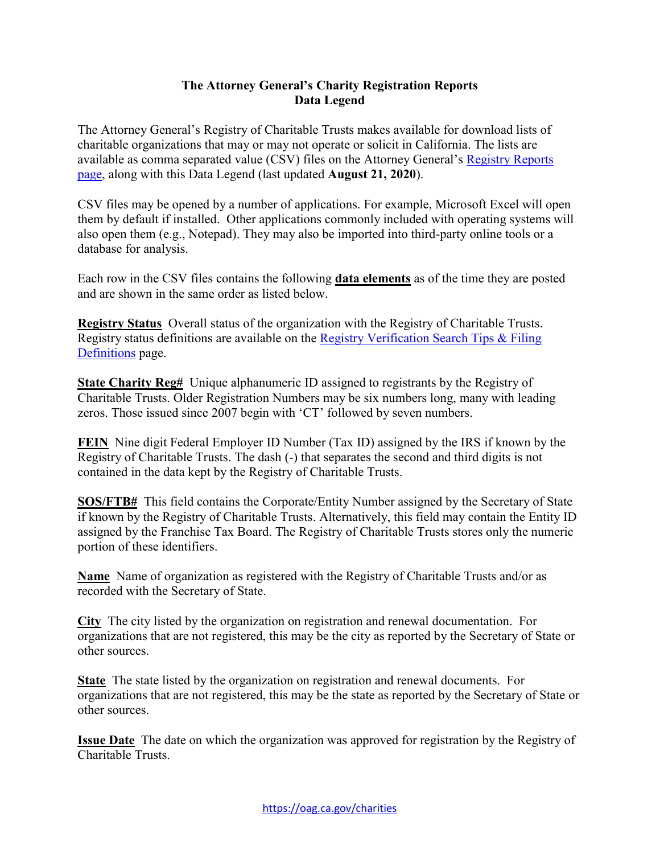## **The Attorney General's Charity Registration Reports Data Legend**

The Attorney General's Registry of Charitable Trusts makes available for download lists of charitable organizations that may or may not operate or solicit in California. The lists are available as comma separated value (CSV) files on the Attorney General's Registry Reports [page,](https://oag.ca.gov/charities/reports) along with this Data Legend (last updated **August 21, 2020**).

CSV files may be opened by a number of applications. For example, Microsoft Excel will open them by default if installed. Other applications commonly included with operating systems will also open them (e.g., Notepad). They may also be imported into third-party online tools or a database for analysis.

Each row in the CSV files contains the following **data elements** as of the time they are posted and are shown in the same order as listed below.

 **Registry Status** Overall status of the organization with the Registry of Charitable Trusts. Registry status definitions are available on the [Registry Verification Search Tips & Filing](https://oag.ca.gov/charities/content/info)  [Definitions](https://oag.ca.gov/charities/content/info) page.

 **State Charity Reg#** Unique alphanumeric ID assigned to registrants by the Registry of Charitable Trusts. Older Registration Numbers may be six numbers long, many with leading zeros. Those issued since 2007 begin with 'CT' followed by seven numbers.

 **FEIN** Nine digit Federal Employer ID Number (Tax ID) assigned by the IRS if known by the Registry of Charitable Trusts. The dash (-) that separates the second and third digits is not contained in the data kept by the Registry of Charitable Trusts.

 **SOS/FTB#** This field contains the Corporate/Entity Number assigned by the Secretary of State if known by the Registry of Charitable Trusts. Alternatively, this field may contain the Entity ID assigned by the Franchise Tax Board. The Registry of Charitable Trusts stores only the numeric portion of these identifiers.

 **Name** Name of organization as registered with the Registry of Charitable Trusts and/or as recorded with the Secretary of State.

 **City** The city listed by the organization on registration and renewal documentation. For organizations that are not registered, this may be the city as reported by the Secretary of State or other sources.

 **State** The state listed by the organization on registration and renewal documents. For organizations that are not registered, this may be the state as reported by the Secretary of State or other sources.

 **Issue Date** The date on which the organization was approved for registration by the Registry of Charitable Trusts.